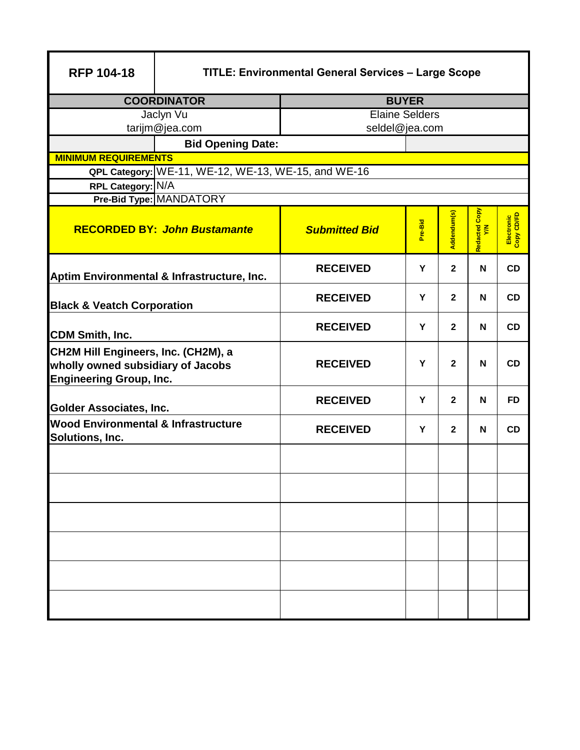| <b>RFP 104-18</b>                                                                                          | <b>TITLE: Environmental General Services - Large Scope</b> |                       |         |                |                         |                          |  |  |  |
|------------------------------------------------------------------------------------------------------------|------------------------------------------------------------|-----------------------|---------|----------------|-------------------------|--------------------------|--|--|--|
|                                                                                                            | <b>COORDINATOR</b>                                         | <b>BUYER</b>          |         |                |                         |                          |  |  |  |
|                                                                                                            | Jaclyn Vu                                                  | <b>Elaine Selders</b> |         |                |                         |                          |  |  |  |
|                                                                                                            | tarijm@jea.com                                             | seldel@jea.com        |         |                |                         |                          |  |  |  |
|                                                                                                            | <b>Bid Opening Date:</b>                                   |                       |         |                |                         |                          |  |  |  |
| <b>MINIMUM REQUIREMENTS</b>                                                                                |                                                            |                       |         |                |                         |                          |  |  |  |
|                                                                                                            | QPL Category: WE-11, WE-12, WE-13, WE-15, and WE-16        |                       |         |                |                         |                          |  |  |  |
| RPL Category: N/A                                                                                          |                                                            |                       |         |                |                         |                          |  |  |  |
|                                                                                                            | Pre-Bid Type: MANDATORY                                    |                       |         |                |                         |                          |  |  |  |
|                                                                                                            | <b>RECORDED BY: John Bustamante</b>                        | <b>Submitted Bid</b>  | Pre-Bid | Addendum(s)    | Copy<br>Redacted<br>Y/N | Electronic<br>Copy CD/FD |  |  |  |
|                                                                                                            | Aptim Environmental & Infrastructure, Inc.                 | <b>RECEIVED</b>       | Y       | $\mathbf{2}$   | N                       | CD                       |  |  |  |
| <b>Black &amp; Veatch Corporation</b>                                                                      |                                                            | <b>RECEIVED</b>       | Y       | $\overline{2}$ | N                       | CD                       |  |  |  |
| <b>CDM Smith, Inc.</b>                                                                                     |                                                            | <b>RECEIVED</b>       | Y       | 2 <sup>1</sup> | N                       | CD                       |  |  |  |
| CH2M Hill Engineers, Inc. (CH2M), a<br>wholly owned subsidiary of Jacobs<br><b>Engineering Group, Inc.</b> |                                                            | <b>RECEIVED</b>       | Y       | $\overline{2}$ | N                       | CD                       |  |  |  |
| <b>Golder Associates, Inc.</b>                                                                             |                                                            | <b>RECEIVED</b>       | Y       | $\overline{2}$ | N                       | <b>FD</b>                |  |  |  |
| <b>Wood Environmental &amp; Infrastructure</b><br>Solutions, Inc.                                          |                                                            | <b>RECEIVED</b>       | Y       | $\overline{2}$ | N                       | CD                       |  |  |  |
|                                                                                                            |                                                            |                       |         |                |                         |                          |  |  |  |
|                                                                                                            |                                                            |                       |         |                |                         |                          |  |  |  |
|                                                                                                            |                                                            |                       |         |                |                         |                          |  |  |  |
|                                                                                                            |                                                            |                       |         |                |                         |                          |  |  |  |
|                                                                                                            |                                                            |                       |         |                |                         |                          |  |  |  |
|                                                                                                            |                                                            |                       |         |                |                         |                          |  |  |  |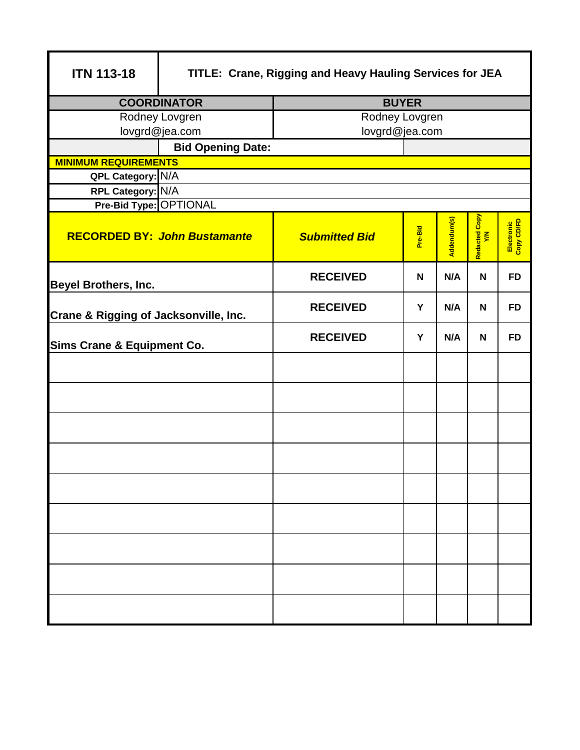| <b>ITN 113-18</b>                     | TITLE: Crane, Rigging and Heavy Hauling Services for JEA |                      |              |             |                      |                          |  |
|---------------------------------------|----------------------------------------------------------|----------------------|--------------|-------------|----------------------|--------------------------|--|
|                                       | <b>COORDINATOR</b>                                       |                      | <b>BUYER</b> |             |                      |                          |  |
|                                       | Rodney Lovgren                                           | Rodney Lovgren       |              |             |                      |                          |  |
|                                       | lovgrd@jea.com                                           | lovgrd@jea.com       |              |             |                      |                          |  |
|                                       | <b>Bid Opening Date:</b>                                 |                      |              |             |                      |                          |  |
| <b>MINIMUM REQUIREMENTS</b>           |                                                          |                      |              |             |                      |                          |  |
| QPL Category: N/A                     |                                                          |                      |              |             |                      |                          |  |
| RPL Category: N/A                     |                                                          |                      |              |             |                      |                          |  |
| Pre-Bid Type: OPTIONAL                |                                                          |                      |              |             |                      |                          |  |
|                                       | <b>RECORDED BY: John Bustamante</b>                      | <b>Submitted Bid</b> | Pre-Bid      | Addendum(s) | Redacted Copy<br>Y/N | Electronic<br>Copy CD/FD |  |
| <b>Beyel Brothers, Inc.</b>           |                                                          | <b>RECEIVED</b>      | N            | N/A         | N                    | <b>FD</b>                |  |
| Crane & Rigging of Jacksonville, Inc. |                                                          | <b>RECEIVED</b>      | Y            | N/A         | N                    | <b>FD</b>                |  |
| <b>Sims Crane &amp; Equipment Co.</b> |                                                          | <b>RECEIVED</b>      | Y            | N/A         | N                    | <b>FD</b>                |  |
|                                       |                                                          |                      |              |             |                      |                          |  |
|                                       |                                                          |                      |              |             |                      |                          |  |
|                                       |                                                          |                      |              |             |                      |                          |  |
|                                       |                                                          |                      |              |             |                      |                          |  |
|                                       |                                                          |                      |              |             |                      |                          |  |
|                                       |                                                          |                      |              |             |                      |                          |  |
|                                       |                                                          |                      |              |             |                      |                          |  |
|                                       |                                                          |                      |              |             |                      |                          |  |
|                                       |                                                          |                      |              |             |                      |                          |  |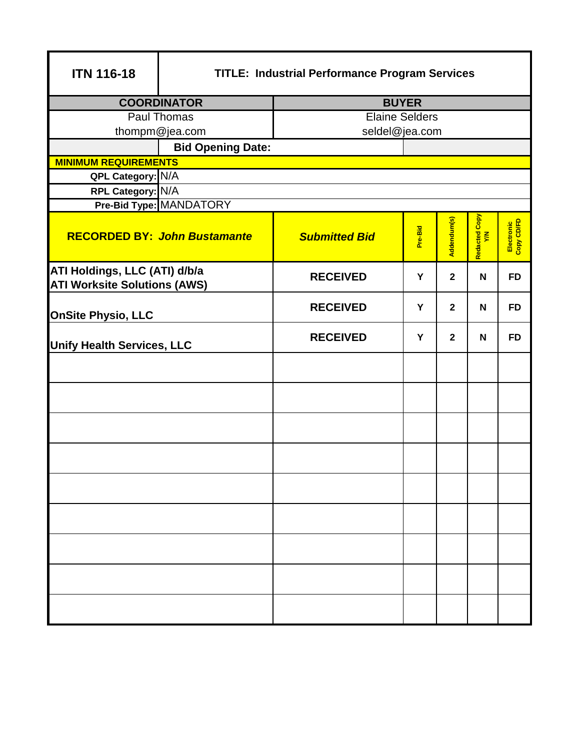| <b>ITN 116-18</b>                                                    | <b>TITLE: Industrial Performance Program Services</b> |                       |              |              |                                  |                          |  |
|----------------------------------------------------------------------|-------------------------------------------------------|-----------------------|--------------|--------------|----------------------------------|--------------------------|--|
|                                                                      | <b>COORDINATOR</b>                                    |                       | <b>BUYER</b> |              |                                  |                          |  |
|                                                                      | <b>Paul Thomas</b>                                    | <b>Elaine Selders</b> |              |              |                                  |                          |  |
|                                                                      | thompm@jea.com                                        | seldel@jea.com        |              |              |                                  |                          |  |
|                                                                      | <b>Bid Opening Date:</b>                              |                       |              |              |                                  |                          |  |
| <b>MINIMUM REQUIREMENTS</b>                                          |                                                       |                       |              |              |                                  |                          |  |
| QPL Category: N/A                                                    |                                                       |                       |              |              |                                  |                          |  |
| RPL Category: N/A                                                    |                                                       |                       |              |              |                                  |                          |  |
|                                                                      | Pre-Bid Type: MANDATORY                               |                       |              |              |                                  |                          |  |
|                                                                      | <b>RECORDED BY: John Bustamante</b>                   | <b>Submitted Bid</b>  | Pre-Bid      | Addendum(s)  | Copy<br>Redacted <b>C</b><br>V/N | Electronic<br>Copy CD/FD |  |
| ATI Holdings, LLC (ATI) d/b/a<br><b>ATI Worksite Solutions (AWS)</b> |                                                       | <b>RECEIVED</b>       | Y            | $\mathbf{2}$ | N                                | <b>FD</b>                |  |
| <b>OnSite Physio, LLC</b>                                            |                                                       | <b>RECEIVED</b>       | Y            | $\mathbf{2}$ | N                                | <b>FD</b>                |  |
| <b>Unify Health Services, LLC</b>                                    |                                                       | <b>RECEIVED</b>       | Y            | $\mathbf{2}$ | N                                | <b>FD</b>                |  |
|                                                                      |                                                       |                       |              |              |                                  |                          |  |
|                                                                      |                                                       |                       |              |              |                                  |                          |  |
|                                                                      |                                                       |                       |              |              |                                  |                          |  |
|                                                                      |                                                       |                       |              |              |                                  |                          |  |
|                                                                      |                                                       |                       |              |              |                                  |                          |  |
|                                                                      |                                                       |                       |              |              |                                  |                          |  |
|                                                                      |                                                       |                       |              |              |                                  |                          |  |
|                                                                      |                                                       |                       |              |              |                                  |                          |  |
|                                                                      |                                                       |                       |              |              |                                  |                          |  |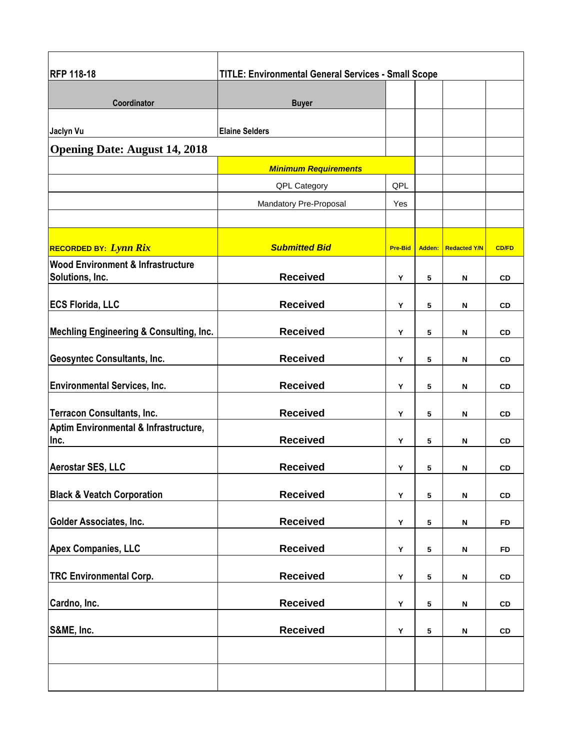| <b>RFP 118-18</b>                                               | <b>TITLE: Environmental General Services - Small Scope</b> |                |                 |                           |              |  |  |  |
|-----------------------------------------------------------------|------------------------------------------------------------|----------------|-----------------|---------------------------|--------------|--|--|--|
| Coordinator                                                     |                                                            |                |                 |                           |              |  |  |  |
|                                                                 | <b>Buyer</b>                                               |                |                 |                           |              |  |  |  |
| Jaclyn Vu                                                       | <b>Elaine Selders</b>                                      |                |                 |                           |              |  |  |  |
| <b>Opening Date: August 14, 2018</b>                            |                                                            |                |                 |                           |              |  |  |  |
|                                                                 | <b>Minimum Requirements</b>                                |                |                 |                           |              |  |  |  |
|                                                                 | <b>QPL Category</b>                                        | QPL            |                 |                           |              |  |  |  |
|                                                                 | Mandatory Pre-Proposal                                     | Yes            |                 |                           |              |  |  |  |
| <b>RECORDED BY: Lynn Rix</b>                                    | <b>Submitted Bid</b>                                       | <b>Pre-Bid</b> | Adden:          | <b>Redacted Y/N</b>       | <b>CD/FD</b> |  |  |  |
| <b>Wood Environment &amp; Infrastructure</b><br>Solutions, Inc. | <b>Received</b>                                            | Υ              | 5               | N                         | <b>CD</b>    |  |  |  |
| <b>ECS Florida, LLC</b>                                         | <b>Received</b>                                            | Υ              | 5               | N                         | CD           |  |  |  |
| <b>Mechling Engineering &amp; Consulting, Inc.</b>              | <b>Received</b>                                            | Υ              | 5               | N                         | CD           |  |  |  |
| <b>Geosyntec Consultants, Inc.</b>                              | <b>Received</b>                                            | Y              | 5               | N                         | CD           |  |  |  |
| <b>Environmental Services, Inc.</b>                             | <b>Received</b>                                            | Y              | 5               | N                         | CD           |  |  |  |
| <b>Terracon Consultants, Inc.</b>                               | <b>Received</b>                                            | Y              | 5               | N                         | CD           |  |  |  |
| Aptim Environmental & Infrastructure,<br>Inc.                   | <b>Received</b>                                            | Υ              | 5               | N                         | CD           |  |  |  |
| <b>Aerostar SES, LLC</b>                                        | <b>Received</b>                                            | Υ              | 5               | N                         | CD           |  |  |  |
| <b>Black &amp; Veatch Corporation</b>                           | <b>Received</b>                                            | Y              | ${\bf 5}$       | N                         | ${\tt CD}$   |  |  |  |
| <b>Golder Associates, Inc.</b>                                  | <b>Received</b>                                            | Y              | 5               | $\boldsymbol{\mathsf{N}}$ | <b>FD</b>    |  |  |  |
| <b>Apex Companies, LLC</b>                                      | <b>Received</b>                                            | Υ              | 5               | N                         | <b>FD</b>    |  |  |  |
| <b>TRC Environmental Corp.</b>                                  | <b>Received</b>                                            | Υ              | 5               | $\boldsymbol{\mathsf{N}}$ | CD           |  |  |  |
| Cardno, Inc.                                                    | <b>Received</b>                                            | Y              | $5\phantom{.0}$ | $\boldsymbol{\mathsf{N}}$ | CD           |  |  |  |
| S&ME, Inc.                                                      | <b>Received</b>                                            | Y              | $5\phantom{.0}$ | N                         | CD           |  |  |  |
|                                                                 |                                                            |                |                 |                           |              |  |  |  |
|                                                                 |                                                            |                |                 |                           |              |  |  |  |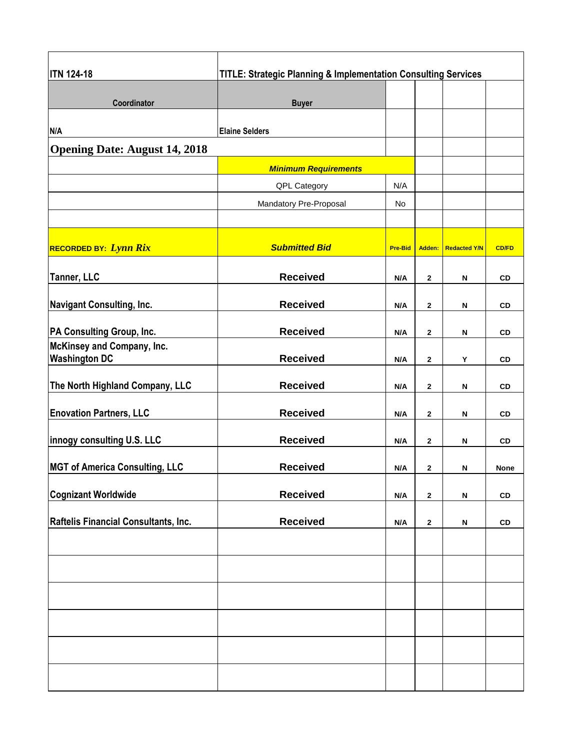| <b>ITN 124-18</b>                                  | <b>TITLE: Strategic Planning &amp; Implementation Consulting Services</b> |                |              |                     |              |  |  |  |
|----------------------------------------------------|---------------------------------------------------------------------------|----------------|--------------|---------------------|--------------|--|--|--|
| Coordinator                                        | <b>Buyer</b>                                                              |                |              |                     |              |  |  |  |
| N/A                                                | <b>Elaine Selders</b>                                                     |                |              |                     |              |  |  |  |
| <b>Opening Date: August 14, 2018</b>               |                                                                           |                |              |                     |              |  |  |  |
|                                                    | <b>Minimum Requirements</b>                                               |                |              |                     |              |  |  |  |
|                                                    | QPL Category                                                              | N/A            |              |                     |              |  |  |  |
|                                                    | Mandatory Pre-Proposal                                                    | <b>No</b>      |              |                     |              |  |  |  |
| <b>RECORDED BY: Lynn Rix</b>                       | <b>Submitted Bid</b>                                                      | <b>Pre-Bid</b> | Adden:       | <b>Redacted Y/N</b> | <b>CD/FD</b> |  |  |  |
| Tanner, LLC                                        | <b>Received</b>                                                           | N/A            | $\mathbf{2}$ | N                   | CD           |  |  |  |
| <b>Navigant Consulting, Inc.</b>                   | <b>Received</b>                                                           | N/A            | 2            | N                   | CD           |  |  |  |
| <b>PA Consulting Group, Inc.</b>                   | <b>Received</b>                                                           | N/A            | $\mathbf{2}$ | N                   | CD           |  |  |  |
| McKinsey and Company, Inc.<br><b>Washington DC</b> | <b>Received</b>                                                           | N/A            | $\mathbf{2}$ | Υ                   | CD           |  |  |  |
| The North Highland Company, LLC                    | <b>Received</b>                                                           | N/A            | $\mathbf{2}$ | N                   | CD           |  |  |  |
| <b>Enovation Partners, LLC</b>                     | <b>Received</b>                                                           | N/A            | 2            | N                   | CD           |  |  |  |
| innogy consulting U.S. LLC                         | <b>Received</b>                                                           | N/A            | 2            | N                   | CD           |  |  |  |
| <b>MGT of America Consulting, LLC</b>              | <b>Received</b>                                                           | N/A            | $\mathbf{2}$ | N                   | None         |  |  |  |
| <b>Cognizant Worldwide</b>                         | <b>Received</b>                                                           | N/A            | $\mathbf{2}$ | N                   | <b>CD</b>    |  |  |  |
| Raftelis Financial Consultants, Inc.               | <b>Received</b>                                                           | N/A            | $\mathbf{2}$ | N                   | ${\tt CD}$   |  |  |  |
|                                                    |                                                                           |                |              |                     |              |  |  |  |
|                                                    |                                                                           |                |              |                     |              |  |  |  |
|                                                    |                                                                           |                |              |                     |              |  |  |  |
|                                                    |                                                                           |                |              |                     |              |  |  |  |
|                                                    |                                                                           |                |              |                     |              |  |  |  |
|                                                    |                                                                           |                |              |                     |              |  |  |  |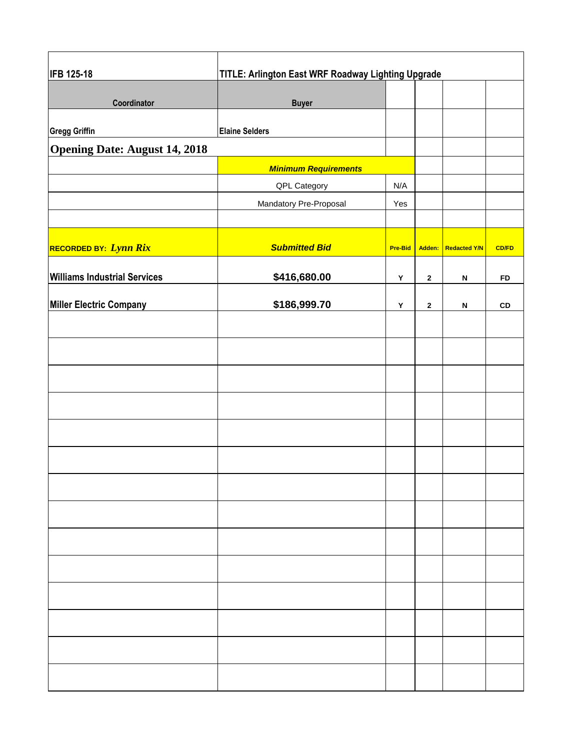| <b>IFB 125-18</b>                    | TITLE: Arlington East WRF Roadway Lighting Upgrade |                |              |                           |              |  |  |
|--------------------------------------|----------------------------------------------------|----------------|--------------|---------------------------|--------------|--|--|
| Coordinator                          | <b>Buyer</b>                                       |                |              |                           |              |  |  |
| <b>Gregg Griffin</b>                 | <b>Elaine Selders</b>                              |                |              |                           |              |  |  |
| <b>Opening Date: August 14, 2018</b> |                                                    |                |              |                           |              |  |  |
|                                      | <b>Minimum Requirements</b>                        |                |              |                           |              |  |  |
|                                      | QPL Category                                       | N/A            |              |                           |              |  |  |
|                                      | Mandatory Pre-Proposal                             | Yes            |              |                           |              |  |  |
|                                      |                                                    |                |              |                           |              |  |  |
| RECORDED BY: Lynn Rix                | <b>Submitted Bid</b>                               | <b>Pre-Bid</b> |              | Adden: Redacted Y/N       | <b>CD/FD</b> |  |  |
| <b>Williams Industrial Services</b>  | \$416,680.00                                       | Y              | $\mathbf{2}$ | $\boldsymbol{\mathsf{N}}$ | <b>FD</b>    |  |  |
| <b>Miller Electric Company</b>       | \$186,999.70                                       | Υ              | $\mathbf{2}$ | $\boldsymbol{\mathsf{N}}$ | ${\tt CD}$   |  |  |
|                                      |                                                    |                |              |                           |              |  |  |
|                                      |                                                    |                |              |                           |              |  |  |
|                                      |                                                    |                |              |                           |              |  |  |
|                                      |                                                    |                |              |                           |              |  |  |
|                                      |                                                    |                |              |                           |              |  |  |
|                                      |                                                    |                |              |                           |              |  |  |
|                                      |                                                    |                |              |                           |              |  |  |
|                                      |                                                    |                |              |                           |              |  |  |
|                                      |                                                    |                |              |                           |              |  |  |
|                                      |                                                    |                |              |                           |              |  |  |
|                                      |                                                    |                |              |                           |              |  |  |
|                                      |                                                    |                |              |                           |              |  |  |
|                                      |                                                    |                |              |                           |              |  |  |
|                                      |                                                    |                |              |                           |              |  |  |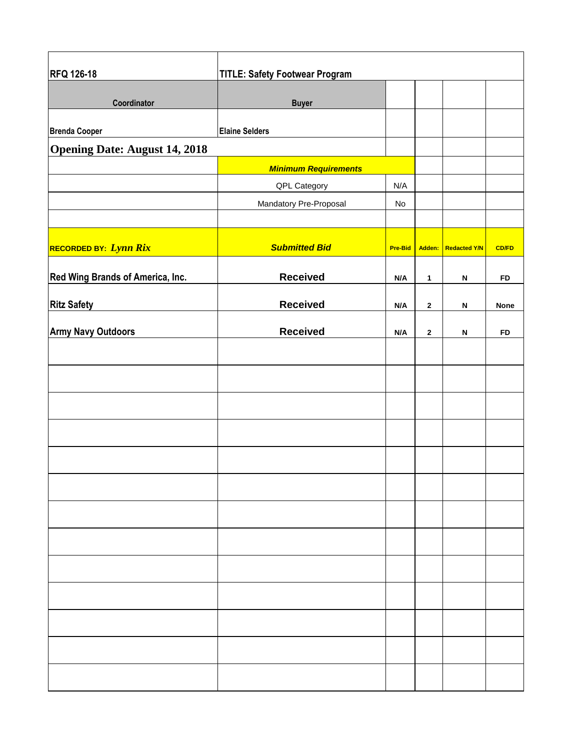| <b>RFQ 126-18</b>                    | <b>TITLE: Safety Footwear Program</b> |                |              |                           |              |
|--------------------------------------|---------------------------------------|----------------|--------------|---------------------------|--------------|
| Coordinator                          | <b>Buyer</b>                          |                |              |                           |              |
| <b>Brenda Cooper</b>                 | <b>Elaine Selders</b>                 |                |              |                           |              |
| <b>Opening Date: August 14, 2018</b> |                                       |                |              |                           |              |
|                                      | <b>Minimum Requirements</b>           |                |              |                           |              |
|                                      | QPL Category                          | N/A            |              |                           |              |
|                                      | Mandatory Pre-Proposal                | No             |              |                           |              |
|                                      |                                       |                |              |                           |              |
| RECORDED BY: Lynn Rix                | <b>Submitted Bid</b>                  | <b>Pre-Bid</b> |              | Adden: Redacted Y/N       | <b>CD/FD</b> |
| Red Wing Brands of America, Inc.     | <b>Received</b>                       | N/A            | $\mathbf{1}$ | $\boldsymbol{\mathsf{N}}$ | <b>FD</b>    |
| <b>Ritz Safety</b>                   | <b>Received</b>                       | N/A            | $\mathbf{2}$ | $\boldsymbol{\mathsf{N}}$ | <b>None</b>  |
| <b>Army Navy Outdoors</b>            | <b>Received</b>                       | N/A            | $\mathbf{2}$ | $\boldsymbol{\mathsf{N}}$ | <b>FD</b>    |
|                                      |                                       |                |              |                           |              |
|                                      |                                       |                |              |                           |              |
|                                      |                                       |                |              |                           |              |
|                                      |                                       |                |              |                           |              |
|                                      |                                       |                |              |                           |              |
|                                      |                                       |                |              |                           |              |
|                                      |                                       |                |              |                           |              |
|                                      |                                       |                |              |                           |              |
|                                      |                                       |                |              |                           |              |
|                                      |                                       |                |              |                           |              |
|                                      |                                       |                |              |                           |              |
|                                      |                                       |                |              |                           |              |
|                                      |                                       |                |              |                           |              |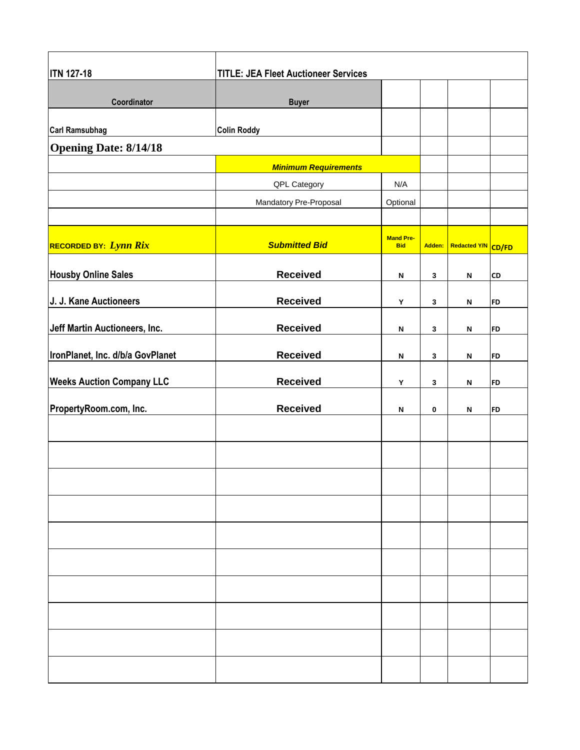| <b>ITN 127-18</b>                | <b>TITLE: JEA Fleet Auctioneer Services</b> |                                |        |                    |           |
|----------------------------------|---------------------------------------------|--------------------------------|--------|--------------------|-----------|
| Coordinator                      | <b>Buyer</b>                                |                                |        |                    |           |
| <b>Carl Ramsubhag</b>            | <b>Colin Roddy</b>                          |                                |        |                    |           |
| <b>Opening Date: 8/14/18</b>     |                                             |                                |        |                    |           |
|                                  | <b>Minimum Requirements</b>                 |                                |        |                    |           |
|                                  | QPL Category                                | N/A                            |        |                    |           |
|                                  | Mandatory Pre-Proposal                      | Optional                       |        |                    |           |
|                                  |                                             |                                |        |                    |           |
| RECORDED BY: Lynn Rix            | <b>Submitted Bid</b>                        | <b>Mand Pre-</b><br><b>Bid</b> | Adden: | Redacted Y/N CD/FD |           |
| <b>Housby Online Sales</b>       | <b>Received</b>                             | N                              | 3      | N                  | <b>CD</b> |
| J. J. Kane Auctioneers           | <b>Received</b>                             | Υ                              | 3      | ${\sf N}$          | <b>FD</b> |
| Jeff Martin Auctioneers, Inc.    | <b>Received</b>                             | $\boldsymbol{\mathsf{N}}$      | 3      | $\mathsf{N}$       | <b>FD</b> |
| IronPlanet, Inc. d/b/a GovPlanet | <b>Received</b>                             | N                              | 3      | N                  | <b>FD</b> |
| <b>Weeks Auction Company LLC</b> | <b>Received</b>                             | Y                              | 3      | N                  | <b>FD</b> |
| PropertyRoom.com, Inc.           | <b>Received</b>                             | N                              | 0      | N                  | <b>FD</b> |
|                                  |                                             |                                |        |                    |           |
|                                  |                                             |                                |        |                    |           |
|                                  |                                             |                                |        |                    |           |
|                                  |                                             |                                |        |                    |           |
|                                  |                                             |                                |        |                    |           |
|                                  |                                             |                                |        |                    |           |
|                                  |                                             |                                |        |                    |           |
|                                  |                                             |                                |        |                    |           |
|                                  |                                             |                                |        |                    |           |
|                                  |                                             |                                |        |                    |           |